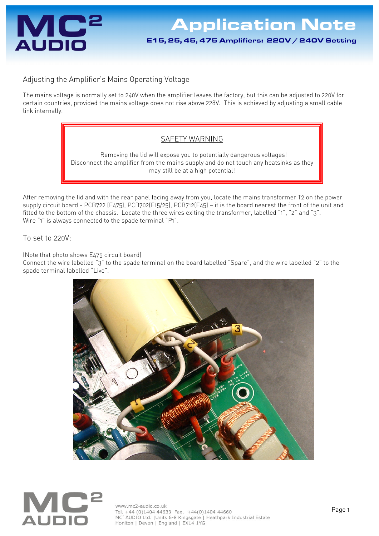

## Adjusting the Amplifier's Mains Operating Voltage

The mains voltage is normally set to 240V when the amplifier leaves the factory, but this can be adjusted to 220V for certain countries, provided the mains voltage does not rise above 228V. This is achieved by adjusting a small cable link internally.

## SAFETY WARNING

 Removing the lid will expose you to potentially dangerous voltages! Disconnect the amplifier from the mains supply and do not touch any heatsinks as they may still be at a high potential!

After removing the lid and with the rear panel facing away from you, locate the mains transformer T2 on the power supply circuit board - PCB722 (E475), PCB702(E15/25), PCB712(E45) — it is the board nearest the front of the unit and fitted to the bottom of the chassis. Locate the three wires exiting the transformer, labelled "1", "2" and "3". Wire "1" is always connected to the spade terminal "P1".

To set to 220V:

(Note that photo shows E475 circuit board)

Connect the wire labelled "3" to the spade terminal on the board labelled "Spare", and the wire labelled "2" to the spade terminal labelled "Live".